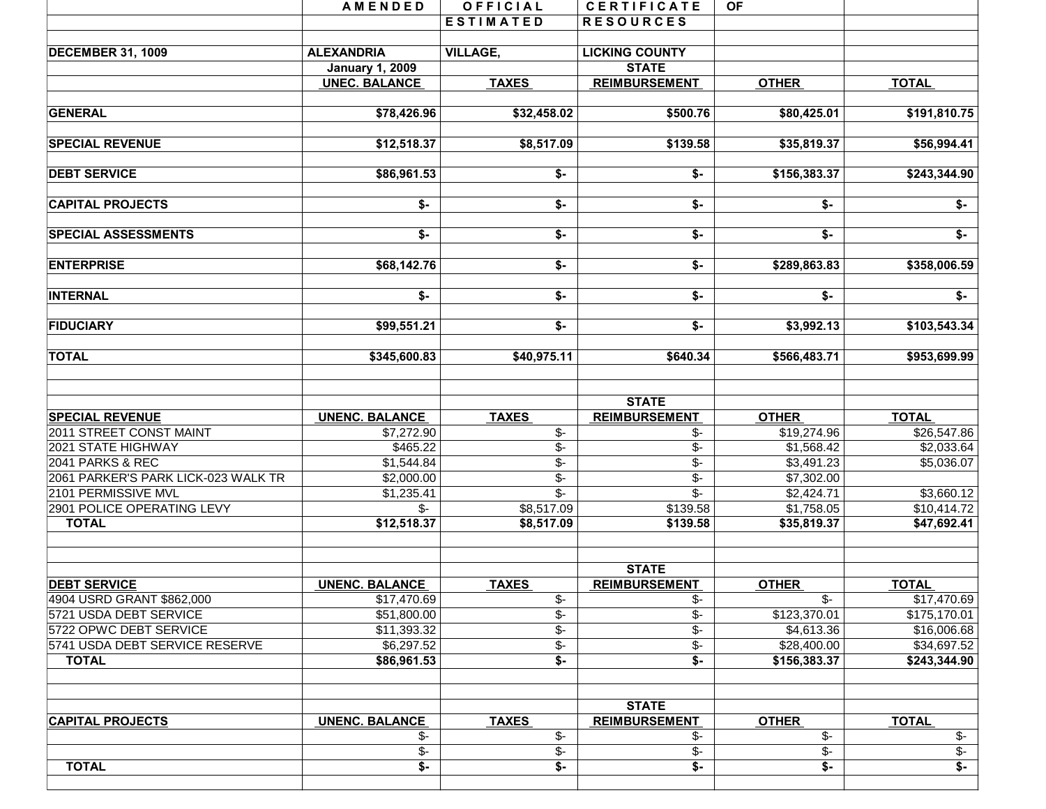| <b>TOTAL</b>                        | $\overline{\ast}$                              | \$-                       | \$-                                   | \$-               | $\overline{\mathsf{S}}$   |
|-------------------------------------|------------------------------------------------|---------------------------|---------------------------------------|-------------------|---------------------------|
|                                     | $\sqrt{$}$ -                                   | $\overline{\$}$ -         | $\overline{\$}$ -                     | $\sqrt[6]{\cdot}$ | $\overline{\$}$ -         |
|                                     | $\frac{2}{3}$                                  | $\overline{\$}$ -         | \$-                                   | $\overline{\$}$ - | $\overline{\$}$ -         |
| <b>CAPITAL PROJECTS</b>             | <b>UNENC. BALANCE</b>                          | <b>TAXES</b>              | <b>STATE</b><br><b>REIMBURSEMENT</b>  | <b>OTHER</b>      | <b>TOTAL</b>              |
|                                     |                                                |                           |                                       |                   |                           |
| <b>TOTAL</b>                        | \$86,961.53                                    | $\overline{\$}$ -         | $\overline{\mathsf{s}}$ -             | \$156,383.37      | \$243,344.90              |
| 5741 USDA DEBT SERVICE RESERVE      | \$6,297.52                                     | $\overline{\$}$ -         | $\overline{\$}$ -                     | \$28,400.00       | \$34,697.52               |
| 5722 OPWC DEBT SERVICE              | \$11,393.32                                    | $\overline{\$}$ -         | $\overline{\mathcal{L}}$              | \$4,613.36        | \$16,006.68               |
| 5721 USDA DEBT SERVICE              | \$51,800.00                                    | $\overline{\$}$ -         | \$-                                   | \$123,370.01      | \$175,170.01              |
| 4904 USRD GRANT \$862,000           | \$17,470.69                                    | \$-                       | \$-                                   | \$-               | \$17,470.69               |
| <b>DEBT SERVICE</b>                 | <b>UNENC. BALANCE</b>                          | <b>TAXES</b>              | <b>STATE</b><br><b>REIMBURSEMENT</b>  | <b>OTHER</b>      | <b>TOTAL</b>              |
| <b>TOTAL</b>                        | \$12,518.37                                    | \$8,517.09                | \$139.58                              | \$35,819.37       | \$47,692.41               |
| 2901 POLICE OPERATING LEVY          | $\mathcal{S}$ -                                | \$8,517.09                | \$139.58                              | \$1,758.05        | \$10,414.72               |
| 2101 PERMISSIVE MVL                 | \$1,235.41                                     | $\overline{\mathbb{S}^-}$ | $\overline{\mathcal{S}}$ -            | \$2,424.71        | \$3,660.12                |
| 2061 PARKER'S PARK LICK-023 WALK TR | \$2,000.00                                     | $\overline{\$}$           | $\overline{\$}$ -                     | \$7,302.00        |                           |
| 2041 PARKS & REC                    | \$1,544.84                                     | $\overline{\mathcal{F}}$  | $\overline{\mathcal{L}}$              | \$3,491.23        | \$5,036.07                |
| 2021 STATE HIGHWAY                  | \$465.22                                       | $\overline{\$}$ -         | $\overline{\$}$ -                     | \$1,568.42        | \$2,033.64                |
| 2011 STREET CONST MAINT             | \$7,272.90                                     | $\frac{2}{3}$             | \$-                                   | \$19,274.96       | \$26,547.86               |
| <b>SPECIAL REVENUE</b>              | <b>UNENC. BALANCE</b>                          | <b>TAXES</b>              | <b>STATE</b><br><b>REIMBURSEMENT</b>  | <b>OTHER</b>      | <b>TOTAL</b>              |
| <b>TOTAL</b>                        | \$345,600.83                                   | \$40,975.11               | \$640.34                              | \$566,483.71      | \$953,699.99              |
| <b>FIDUCIARY</b>                    | \$99,551.21                                    | $\overline{\mathsf{S}}$   | $\overline{\mathsf{S}}$               | \$3,992.13        | \$103,543.34              |
| <b>INTERNAL</b>                     | \$-                                            | $\overline{\bullet}$      | $\overline{\ast}$                     | \$-               | $\overline{\ast}$         |
| <b>ENTERPRISE</b>                   | \$68,142.76                                    | \$-                       | \$-                                   | \$289,863.83      | \$358,006.59              |
| <b>SPECIAL ASSESSMENTS</b>          | \$-                                            | \$-                       | \$-                                   | \$-               | \$-                       |
| <b>CAPITAL PROJECTS</b>             | \$-                                            | \$-                       | \$-                                   | \$-               | $\overline{\mathsf{S}}$ - |
| <b>DEBT SERVICE</b>                 | \$86,961.53                                    | $$-$                      | $$-$                                  | \$156,383.37      | \$243,344.90              |
| <b>SPECIAL REVENUE</b>              | \$12,518.37                                    | \$8,517.09                | \$139.58                              | \$35,819.37       | \$56,994.41               |
| <b>GENERAL</b>                      | \$78,426.96                                    | \$32,458.02               | \$500.76                              | \$80,425.01       | \$191,810.75              |
|                                     | <b>January 1, 2009</b><br><b>UNEC. BALANCE</b> | <b>TAXES</b>              | <b>REIMBURSEMENT</b>                  | <b>OTHER</b>      | <b>TOTAL</b>              |
| <b>DECEMBER 31, 1009</b>            | <b>ALEXANDRIA</b>                              | <b>VILLAGE,</b>           | <b>LICKING COUNTY</b><br><b>STATE</b> |                   |                           |
|                                     |                                                |                           |                                       |                   |                           |
|                                     |                                                | <b>ESTIMATED</b>          | <b>RESOURCES</b>                      |                   |                           |
|                                     | <b>AMENDED</b>                                 | OFFICIAL                  | <b>CERTIFICATE</b>                    | <b>OF</b>         |                           |